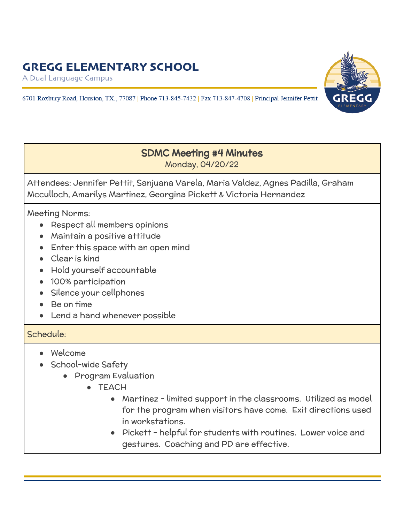A Dual Language Campus

6701 Roxbury Road, Houston, TX., 77087 | Phone 713-845-7432 | Fax 713-847-4708 | Principal Jennifer Pettit



#### SDMC Meeting #4 Minutes Monday, 04/20/22

Attendees: Jennifer Pettit, Sanjuana Varela, Maria Valdez, Agnes Padilla, Graham Mcculloch, Amarilys Martinez, Georgina Pickett & Victoria Hernandez

Meeting Norms:

- Respect all members opinions
- Maintain a positive attitude
- Enter this space with an open mind
- Clear is kind
- Hold yourself accountable
- 100% participation
- Silence your cellphones
- Be on time
- Lend a hand whenever possible

#### Schedule:

- Welcome
- School-wide Safety
	- Program Evaluation
		- TEACH
			- Martinez limited support in the classrooms. Utilized as model for the program when visitors have come. Exit directions used in workstations.
			- Pickett helpful for students with routines. Lower voice and gestures. Coaching and PD are effective.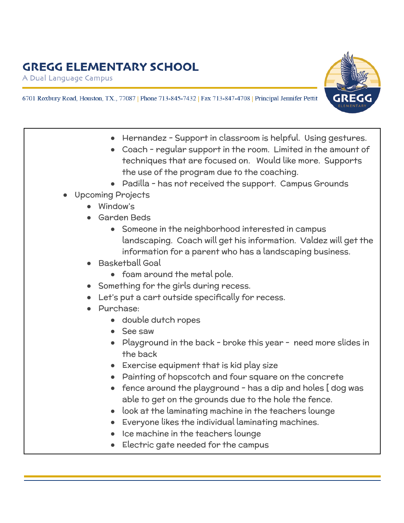A Dual Language Campus



- 6701 Roxbury Road, Houston, TX., 77087 | Phone 713-845-7432 | Fax 713-847-4708 | Principal Jennifer Pettit
	- Hernandez Support in classroom is helpful. Using gestures. Coach - regular support in the room. Limited in the amount of techniques that are focused on. Would like more. Supports the use of the program due to the coaching. • Padilla - has not received the support. Campus Grounds Upcoming Projects ● Window's Garden Beds Someone in the neighborhood interested in campus landscaping. Coach will get his information. Valdez will get the information for a parent who has a landscaping business. **Basketball Goal** • foam around the metal pole. Something for the girls during recess. Let's put a cart outside specifically for recess. Purchase: ● double dutch ropes See saw • Playground in the back - broke this year - need more slides in the back ● Exercise equipment that is kid play size ● Painting of hopscotch and four square on the concrete • fence around the playground - has a dip and holes [dog was able to get on the grounds due to the hole the fence. look at the laminating machine in the teachers lounge ● Everyone likes the individual laminating machines. Ice machine in the teachers lounge Electric gate needed for the campus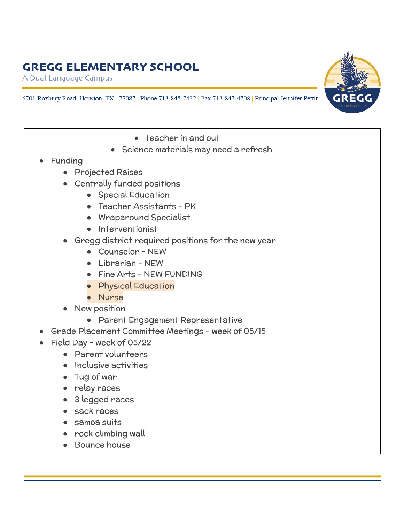A Dual Language Campus

6701 Roxbury Road, Houston, TX., 77087 | Phone 713-845-7432 | Fax 713-847-4708 | Principal Jennifer Pettit

- teacher in and out
- Science materials may need a refresh
- **Funding** 
	- Projected Raises
	- Centrally funded positions
		- Special Education
		- Teacher Assistants PK
		- Wraparound Specialist
		- Interventionist
	- Gregg district required positions for the new year
		- Counselor NEW
		- Librarian NEW
		- Fine Arts NEW FUNDING
		- Physical Education
		- Nurse
	- **New position** 
		- Parent Engagement Representative
- Grade Placement Committee Meetings week of 05/15
- Field Day week of 05/22
	- Parent volunteers
	- Inclusive activities
	- Tug of war
	- relay races
	- 3 legged races
	- sack races
	- samoa suits
	- rock climbing wall
	- **Bounce house**